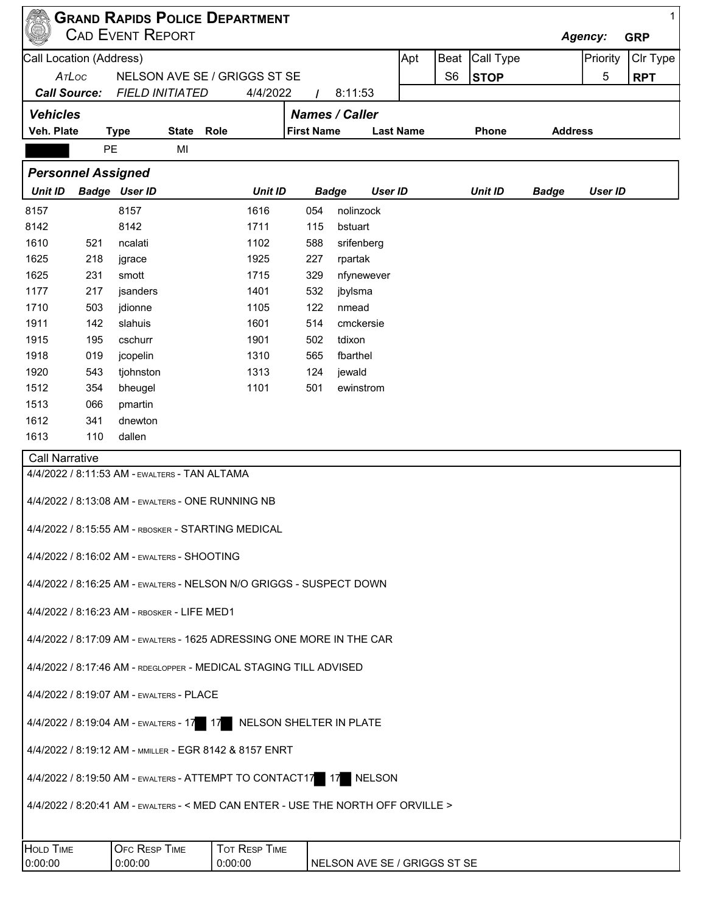| $\mathbf{1}$<br><b>GRAND RAPIDS POLICE DEPARTMENT</b><br><b>CAD EVENT REPORT</b><br>Agency:<br><b>GRP</b> |     |                                               |              |                                                                       |                |                   |                                |                  |                |                |                |                |            |
|-----------------------------------------------------------------------------------------------------------|-----|-----------------------------------------------|--------------|-----------------------------------------------------------------------|----------------|-------------------|--------------------------------|------------------|----------------|----------------|----------------|----------------|------------|
| Call Location (Address)                                                                                   |     |                                               |              |                                                                       |                | Apt               | Beat                           | Call Type        |                | Priority       | Clr Type       |                |            |
| ArLoc                                                                                                     |     |                                               |              | NELSON AVE SE / GRIGGS ST SE                                          |                |                   |                                |                  | S <sub>6</sub> | <b>STOP</b>    |                | 5              | <b>RPT</b> |
| <b>Call Source:</b>                                                                                       |     | <b>FIELD INITIATED</b>                        |              |                                                                       | 4/4/2022       |                   | 8:11:53                        |                  |                |                |                |                |            |
| <b>Vehicles</b>                                                                                           |     |                                               |              |                                                                       |                |                   | <b>Names / Caller</b>          |                  |                |                |                |                |            |
| Veh. Plate                                                                                                |     | <b>Type</b>                                   | <b>State</b> | Role                                                                  |                | <b>First Name</b> |                                | <b>Last Name</b> |                | Phone          | <b>Address</b> |                |            |
|                                                                                                           | PE  |                                               | MI           |                                                                       |                |                   |                                |                  |                |                |                |                |            |
|                                                                                                           |     |                                               |              |                                                                       |                |                   |                                |                  |                |                |                |                |            |
| <b>Personnel Assigned</b>                                                                                 |     |                                               |              |                                                                       |                |                   |                                |                  |                |                |                |                |            |
| <b>Unit ID</b>                                                                                            |     | <b>Badge User ID</b>                          |              |                                                                       | <b>Unit ID</b> |                   | <b>User ID</b><br><b>Badge</b> |                  |                | <b>Unit ID</b> | <b>Badge</b>   | <b>User ID</b> |            |
| 8157                                                                                                      |     | 8157                                          |              | 1616                                                                  |                | 054               | nolinzock                      |                  |                |                |                |                |            |
| 8142                                                                                                      |     | 8142                                          |              | 1711                                                                  |                | 115               | bstuart                        |                  |                |                |                |                |            |
| 1610                                                                                                      | 521 | ncalati                                       |              | 1102                                                                  |                | 588               | srifenberg                     |                  |                |                |                |                |            |
| 1625                                                                                                      | 218 | jgrace                                        |              | 1925                                                                  |                | 227               | rpartak                        |                  |                |                |                |                |            |
| 1625                                                                                                      | 231 | smott                                         |              | 1715                                                                  |                | 329               | nfynewever                     |                  |                |                |                |                |            |
| 1177                                                                                                      | 217 | jsanders                                      |              | 1401                                                                  |                | 532               | jbylsma                        |                  |                |                |                |                |            |
| 1710                                                                                                      | 503 | jdionne                                       |              | 1105                                                                  |                | 122               | nmead                          |                  |                |                |                |                |            |
| 1911                                                                                                      | 142 | slahuis                                       |              | 1601                                                                  |                | 514               | cmckersie                      |                  |                |                |                |                |            |
| 1915                                                                                                      | 195 | cschurr                                       |              | 1901                                                                  |                | 502               | tdixon                         |                  |                |                |                |                |            |
| 1918                                                                                                      | 019 | jcopelin                                      |              | 1310                                                                  |                | 565               | fbarthel                       |                  |                |                |                |                |            |
| 1920                                                                                                      | 543 | tjohnston                                     |              | 1313                                                                  |                | 124               | jewald                         |                  |                |                |                |                |            |
| 1512                                                                                                      | 354 | bheugel                                       |              | 1101                                                                  |                | 501               | ewinstrom                      |                  |                |                |                |                |            |
| 1513                                                                                                      | 066 | pmartin                                       |              |                                                                       |                |                   |                                |                  |                |                |                |                |            |
| 1612                                                                                                      | 341 | dnewton                                       |              |                                                                       |                |                   |                                |                  |                |                |                |                |            |
| 1613                                                                                                      | 110 | dallen                                        |              |                                                                       |                |                   |                                |                  |                |                |                |                |            |
| <b>Call Narrative</b>                                                                                     |     |                                               |              |                                                                       |                |                   |                                |                  |                |                |                |                |            |
|                                                                                                           |     | 4/4/2022 / 8:11:53 AM - EWALTERS - TAN ALTAMA |              |                                                                       |                |                   |                                |                  |                |                |                |                |            |
| 4/4/2022 / 8:13:08 AM - EWALTERS - ONE RUNNING NB                                                         |     |                                               |              |                                                                       |                |                   |                                |                  |                |                |                |                |            |
| 4/4/2022 / 8:15:55 AM - RBOSKER - STARTING MEDICAL                                                        |     |                                               |              |                                                                       |                |                   |                                |                  |                |                |                |                |            |
| 4/4/2022 / 8:16:02 AM - EWALTERS - SHOOTING                                                               |     |                                               |              |                                                                       |                |                   |                                |                  |                |                |                |                |            |
|                                                                                                           |     |                                               |              | 4/4/2022 / 8:16:25 AM - EWALTERS - NELSON N/O GRIGGS - SUSPECT DOWN   |                |                   |                                |                  |                |                |                |                |            |
|                                                                                                           |     | 4/4/2022 / 8:16:23 AM - RBOSKER - LIFE MED1   |              |                                                                       |                |                   |                                |                  |                |                |                |                |            |
|                                                                                                           |     |                                               |              | 4/4/2022 / 8:17:09 AM - EWALTERS - 1625 ADRESSING ONE MORE IN THE CAR |                |                   |                                |                  |                |                |                |                |            |
|                                                                                                           |     |                                               |              | 4/4/2022 / 8:17:46 AM - RDEGLOPPER - MEDICAL STAGING TILL ADVISED     |                |                   |                                |                  |                |                |                |                |            |
| 4/4/2022 / 8:19:07 AM - EWALTERS - PLACE                                                                  |     |                                               |              |                                                                       |                |                   |                                |                  |                |                |                |                |            |
| 4/4/2022 / 8:19:04 AM - EWALTERS - 17   17   NELSON SHELTER IN PLATE                                      |     |                                               |              |                                                                       |                |                   |                                |                  |                |                |                |                |            |
| 4/4/2022 / 8:19:12 AM - MMILLER - EGR 8142 & 8157 ENRT                                                    |     |                                               |              |                                                                       |                |                   |                                |                  |                |                |                |                |            |
| 4/4/2022 / 8:19:50 AM - EWALTERS - ATTEMPT TO CONTACT17 17 NELSON                                         |     |                                               |              |                                                                       |                |                   |                                |                  |                |                |                |                |            |
| 4/4/2022 / 8:20:41 AM - EWALTERS - < MED CAN ENTER - USE THE NORTH OFF ORVILLE >                          |     |                                               |              |                                                                       |                |                   |                                |                  |                |                |                |                |            |
| <b>HOLD TIME</b><br>0:00:00                                                                               |     | <b>OFC RESP TIME</b><br>0:00:00               |              | <b>TOT RESP TIME</b><br>0:00:00                                       |                |                   | NELSON AVE SE / GRIGGS ST SE   |                  |                |                |                |                |            |